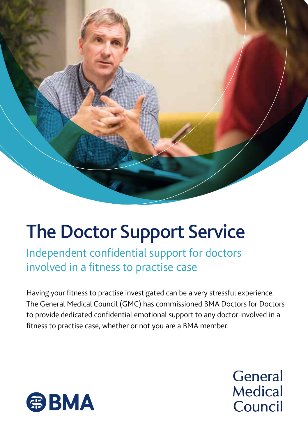

## The Doctor Support Service

Independent confidential support for doctors involved in a fitness to practise case

Having your fitness to practise investigated can be a very stressful experience. The General Medical Council (GMC) has commissioned BMA Doctors for Doctors to provide dedicated confidential emotional support to any doctor involved in a fitness to practise case, whether or not you are a BMA member.



**General Medical** Council